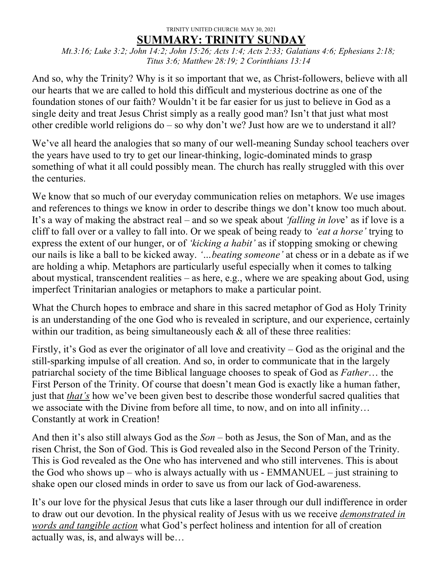## TRINITY UNITED CHURCH: MAY 30, 2021 **SUMMARY: TRINITY SUNDAY**

*Mt.3:16; Luke 3:2; John 14:2; John 15:26; Acts 1:4; Acts 2:33; Galatians 4:6; Ephesians 2:18; Titus 3:6; Matthew 28:19; 2 Corinthians 13:14*

And so, why the Trinity? Why is it so important that we, as Christ-followers, believe with all our hearts that we are called to hold this difficult and mysterious doctrine as one of the foundation stones of our faith? Wouldn't it be far easier for us just to believe in God as a single deity and treat Jesus Christ simply as a really good man? Isn't that just what most other credible world religions do – so why don't we? Just how are we to understand it all?

We've all heard the analogies that so many of our well-meaning Sunday school teachers over the years have used to try to get our linear-thinking, logic-dominated minds to grasp something of what it all could possibly mean. The church has really struggled with this over the centuries.

We know that so much of our everyday communication relies on metaphors. We use images and references to things we know in order to describe things we don't know too much about. It's a way of making the abstract real – and so we speak about *'falling in lov*e' as if love is a cliff to fall over or a valley to fall into. Or we speak of being ready to *'eat a horse'* trying to express the extent of our hunger, or of *'kicking a habit'* as if stopping smoking or chewing our nails is like a ball to be kicked away. *'…beating someone'* at chess or in a debate as if we are holding a whip. Metaphors are particularly useful especially when it comes to talking about mystical, transcendent realities – as here, e.g., where we are speaking about God, using imperfect Trinitarian analogies or metaphors to make a particular point.

What the Church hopes to embrace and share in this sacred metaphor of God as Holy Trinity is an understanding of the one God who is revealed in scripture, and our experience, certainly within our tradition, as being simultaneously each  $\&$  all of these three realities:

Firstly, it's God as ever the originator of all love and creativity – God as the original and the still-sparking impulse of all creation. And so, in order to communicate that in the largely patriarchal society of the time Biblical language chooses to speak of God as *Father*… the First Person of the Trinity. Of course that doesn't mean God is exactly like a human father, just that *that's* how we've been given best to describe those wonderful sacred qualities that we associate with the Divine from before all time, to now, and on into all infinity… Constantly at work in Creation!

And then it's also still always God as the *Son* – both as Jesus, the Son of Man, and as the risen Christ, the Son of God. This is God revealed also in the Second Person of the Trinity. This is God revealed as the One who has intervened and who still intervenes. This is about the God who shows  $up - who$  is always actually with us - EMMANUEL – just straining to shake open our closed minds in order to save us from our lack of God-awareness.

It's our love for the physical Jesus that cuts like a laser through our dull indifference in order to draw out our devotion. In the physical reality of Jesus with us we receive *demonstrated in words and tangible action* what God's perfect holiness and intention for all of creation actually was, is, and always will be…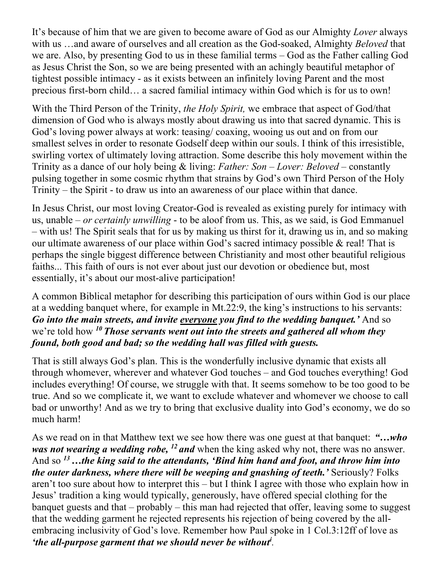It's because of him that we are given to become aware of God as our Almighty *Lover* always with us …and aware of ourselves and all creation as the God-soaked, Almighty *Beloved* that we are. Also, by presenting God to us in these familial terms – God as the Father calling God as Jesus Christ the Son, so we are being presented with an achingly beautiful metaphor of tightest possible intimacy - as it exists between an infinitely loving Parent and the most precious first-born child… a sacred familial intimacy within God which is for us to own!

With the Third Person of the Trinity, *the Holy Spirit,* we embrace that aspect of God/that dimension of God who is always mostly about drawing us into that sacred dynamic. This is God's loving power always at work: teasing/ coaxing, wooing us out and on from our smallest selves in order to resonate Godself deep within our souls. I think of this irresistible, swirling vortex of ultimately loving attraction. Some describe this holy movement within the Trinity as a dance of our holy being & living: *Father: Son – Lover: Beloved* – constantly pulsing together in some cosmic rhythm that strains by God's own Third Person of the Holy Trinity – the Spirit - to draw us into an awareness of our place within that dance.

In Jesus Christ, our most loving Creator-God is revealed as existing purely for intimacy with us, unable *– or certainly unwilling* - to be aloof from us. This, as we said, is God Emmanuel – with us! The Spirit seals that for us by making us thirst for it, drawing us in, and so making our ultimate awareness of our place within God's sacred intimacy possible & real! That is perhaps the single biggest difference between Christianity and most other beautiful religious faiths... This faith of ours is not ever about just our devotion or obedience but, most essentially, it's about our most-alive participation!

A common Biblical metaphor for describing this participation of ours within God is our place at a wedding banquet where, for example in Mt.22:9, the king's instructions to his servants: *Go into the main streets, and invite everyone you find to the wedding banquet.'* And so we're told how *<sup>10</sup> Those servants went out into the streets and gathered all whom they found, both good and bad; so the wedding hall was filled with guests.*

That is still always God's plan. This is the wonderfully inclusive dynamic that exists all through whomever, wherever and whatever God touches – and God touches everything! God includes everything! Of course, we struggle with that. It seems somehow to be too good to be true. And so we complicate it, we want to exclude whatever and whomever we choose to call bad or unworthy! And as we try to bring that exclusive duality into God's economy, we do so much harm!

As we read on in that Matthew text we see how there was one guest at that banquet: *"…who was not wearing a wedding robe, <sup>12</sup> and* when the king asked why not, there was no answer. And so *13…the king said to the attendants, 'Bind him hand and foot, and throw him into the outer darkness, where there will be weeping and gnashing of teeth.'* Seriously? Folks aren't too sure about how to interpret this – but I think I agree with those who explain how in Jesus' tradition a king would typically, generously, have offered special clothing for the banquet guests and that – probably – this man had rejected that offer, leaving some to suggest that the wedding garment he rejected represents his rejection of being covered by the allembracing inclusivity of God's love. Remember how Paul spoke in 1 Col.3:12ff of love as *'the all-purpose garment that we should never be without<sup><i>i*</sup>.